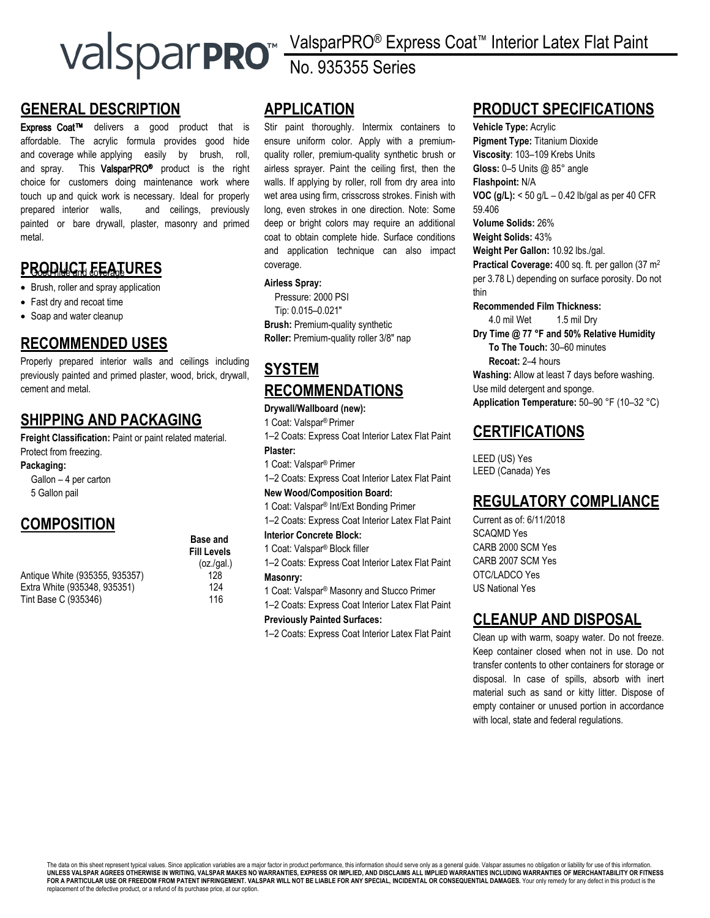# **GENERAL DESCRIPTION**

Express Coat<sup>™</sup> delivers a good product that is affordable. The acrylic formula provides good hide and coverage while applying easily by brush, roll, and spray. This ValsparPRO<sup>®</sup> product is the right choice for customers doing maintenance work where touch up and quick work is necessary. Ideal for properly prepared interior walls, and ceilings, previously painted or bare drywall, plaster, masonry and primed metal.

## **PRODUCT FEATURES**

- Brush, roller and spray application
- Fast dry and recoat time
- Soap and water cleanup

## **RECOMMENDED USES**

Properly prepared interior walls and ceilings including previously painted and primed plaster, wood, brick, drywall, cement and metal.

# **SHIPPING AND PACKAGING**

**Freight Classification:** Paint or paint related material. Protect from freezing.

**Packaging:**

Gallon – 4 per carton 5 Gallon pail

# **COMPOSITION**

**Base and Fill Levels** 

 $(oz/aal.)$ 

Antique White (935355, 935357) 128 Extra White (935348, 935351) 124 Tint Base C (935346) 116

# **APPLICATION**

Stir paint thoroughly. Intermix containers to ensure uniform color. Apply with a premiumquality roller, premium-quality synthetic brush or airless sprayer. Paint the ceiling first, then the walls. If applying by roller, roll from dry area into wet area using firm, crisscross strokes. Finish with long, even strokes in one direction. Note: Some deep or bright colors may require an additional coat to obtain complete hide. Surface conditions and application technique can also impact coverage.

No. 935355 Series

#### **Airless Spray:**

Pressure: 2000 PSI Tip: 0.015–0.021″ **Brush:** Premium-quality synthetic **Roller:** Premium-quality roller 3/8″ nap

# **SYSTEM RECOMMENDATIONS**

## **Drywall/Wallboard (new):**

1 Coat: Valspar® Primer

1–2 Coats: Express Coat Interior Latex Flat Paint **Plaster:**

1 Coat: Valspar® Primer

1–2 Coats: Express Coat Interior Latex Flat Paint

## **New Wood/Composition Board:**

1 Coat: Valspar® Int/Ext Bonding Primer

1–2 Coats: Express Coat Interior Latex Flat Paint

**Interior Concrete Block:**

- 1 Coat: Valspar® Block filler
- 1–2 Coats: Express Coat Interior Latex Flat Paint **Masonry:**
- 1 Coat: Valspar® Masonry and Stucco Primer
- 1–2 Coats: Express Coat Interior Latex Flat Paint

### **Previously Painted Surfaces:**

1–2 Coats: Express Coat Interior Latex Flat Paint

# **PRODUCT SPECIFICATIONS**

ValsparPRO® Express Coat™ Interior Latex Flat Paint

**Vehicle Type:** Acrylic **Pigment Type:** Titanium Dioxide **Viscosity**: 103–109 Krebs Units **Gloss:** 0–5 Units @ 85° angle **Flashpoint:** N/A **VOC (g/L):** < 50 g/L – 0.42 lb/gal as per 40 CFR 59.406 **Volume Solids:** 26% **Weight Solids:** 43% **Weight Per Gallon:** 10.92 lbs./gal. **Practical Coverage:** 400 sq. ft. per gallon (37 m<sup>2</sup>

per 3.78 L) depending on surface porosity. Do not thin

**Recommended Film Thickness:**

4.0 mil Wet 1.5 mil Dry **Dry Time @ 77 °F and 50% Relative Humidity To The Touch:** 30–60 minutes **Recoat:** 2–4 hours **Washing:** Allow at least 7 days before washing. Use mild detergent and sponge. **Application Temperature:** 50–90 °F (10–32 °C)

## **CERTIFICATIONS**

LEED (US) Yes LEED (Canada) Yes

## **REGULATORY COMPLIANCE**

Current as of: 6/11/2018 SCAQMD Yes CARB 2000 SCM Yes CARB 2007 SCM Yes OTC/LADCO Yes US National Yes

## **CLEANUP AND DISPOSAL**

Clean up with warm, soapy water. Do not freeze. Keep container closed when not in use. Do not transfer contents to other containers for storage or disposal. In case of spills, absorb with inert material such as sand or kitty litter. Dispose of empty container or unused portion in accordance with local, state and federal regulations.